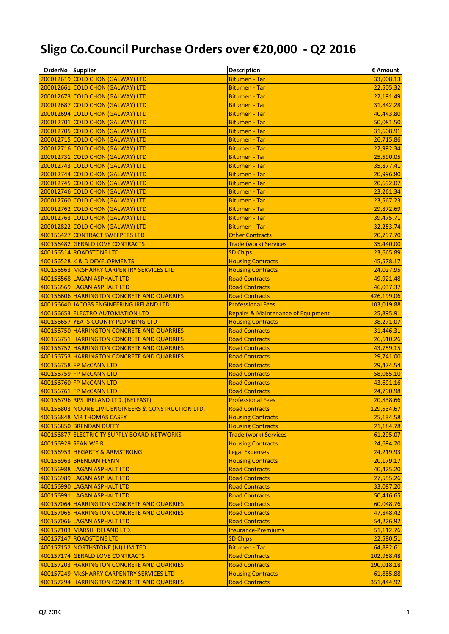## **Sligo Co.Council Purchase Orders over €20,000 - Q2 2016**

| OrderNo Supplier |                                                     | <b>Description</b>                            | € Amount   |
|------------------|-----------------------------------------------------|-----------------------------------------------|------------|
|                  | 200012619 COLD CHON (GALWAY) LTD                    | <b>Bitumen - Tar</b>                          | 33,008.13  |
|                  | 200012661 COLD CHON (GALWAY) LTD                    | <b>Bitumen - Tar</b>                          | 22,505.32  |
|                  | 200012673 COLD CHON (GALWAY) LTD                    | <b>Bitumen - Tar</b>                          | 22,191.49  |
|                  | 200012687 COLD CHON (GALWAY) LTD                    | <b>Bitumen - Tar</b>                          | 31,842.28  |
|                  | 200012694 COLD CHON (GALWAY) LTD                    | <b>Bitumen - Tar</b>                          | 40,443.80  |
|                  | 200012701 COLD CHON (GALWAY) LTD                    | <b>Bitumen - Tar</b>                          | 50,081.50  |
|                  | 200012705 COLD CHON (GALWAY) LTD                    | <b>Bitumen - Tar</b>                          | 31,608.91  |
|                  | 200012715 COLD CHON (GALWAY) LTD                    | <b>Bitumen - Tar</b>                          | 26,715.86  |
|                  | 200012716 COLD CHON (GALWAY) LTD                    | <b>Bitumen - Tar</b>                          | 22,992.34  |
|                  | 200012731 COLD CHON (GALWAY) LTD                    | <b>Bitumen - Tar</b>                          | 25,590.05  |
|                  | 200012743 COLD CHON (GALWAY) LTD                    | <b>Bitumen - Tar</b>                          | 35,877.41  |
|                  | 200012744 COLD CHON (GALWAY) LTD                    | <b>Bitumen - Tar</b>                          | 20,996.80  |
|                  | 200012745 COLD CHON (GALWAY) LTD                    | <b>Bitumen - Tar</b>                          | 20,692.07  |
|                  | 200012746 COLD CHON (GALWAY) LTD                    | <b>Bitumen - Tar</b>                          | 23,261.34  |
|                  | 200012760 COLD CHON (GALWAY) LTD                    | <b>Bitumen - Tar</b>                          | 23,567.23  |
|                  | 200012762 COLD CHON (GALWAY) LTD                    | <b>Bitumen - Tar</b>                          | 29,872.69  |
|                  | 200012763 COLD CHON (GALWAY) LTD                    | <b>Bitumen - Tar</b>                          | 39,475.71  |
|                  | 200012822 COLD CHON (GALWAY) LTD                    | <b>Bitumen - Tar</b>                          | 32,253.74  |
|                  | 400156427 CONTRACT SWEEPERS LTD                     | <b>Other Contracts</b>                        | 20,797.70  |
|                  | 400156482 GERALD LOVE CONTRACTS                     | <b>Trade (work) Services</b>                  | 35,440.00  |
|                  | 400156514 ROADSTONE LTD                             | <b>SD Chips</b>                               | 23,665.89  |
|                  | 400156528 K & D DEVELOPMENTS                        | <b>Housing Contracts</b>                      | 45,578.17  |
|                  | 400156563 McSHARRY CARPENTRY SERVICES LTD           | <b>Housing Contracts</b>                      | 24,027.95  |
|                  | 400156568 LAGAN ASPHALT LTD                         | <b>Road Contracts</b>                         | 49,921.48  |
|                  | 400156569 LAGAN ASPHALT LTD                         | <b>Road Contracts</b>                         | 46,037.37  |
|                  | 400156606 HARRINGTON CONCRETE AND QUARRIES          | <b>Road Contracts</b>                         | 426,199.06 |
|                  | 400156640 JACOBS ENGINEERING IRELAND LTD            | <b>Professional Fees</b>                      | 103,019.88 |
|                  | 400156653 ELECTRO AUTOMATION LTD                    | <b>Repairs &amp; Maintenance of Equipment</b> | 25,895.91  |
|                  | 400156657 YEATS COUNTY PLUMBING LTD                 | <b>Housing Contracts</b>                      | 38,271.07  |
|                  | 400156750 HARRINGTON CONCRETE AND QUARRIES          | <b>Road Contracts</b>                         | 31,446.31  |
|                  | 400156751 HARRINGTON CONCRETE AND QUARRIES          | <b>Road Contracts</b>                         | 26,610.26  |
|                  | 400156752 HARRINGTON CONCRETE AND QUARRIES          | <b>Road Contracts</b>                         | 43,759.15  |
|                  | 400156753 HARRINGTON CONCRETE AND QUARRIES          | <b>Road Contracts</b>                         | 29,741.00  |
|                  | 400156758 FP McCANN LTD.                            | <b>Road Contracts</b>                         | 29,474.54  |
|                  | 400156759 FP McCANN LTD.                            | <b>Road Contracts</b>                         | 58,065.10  |
|                  | 400156760 FP McCANN LTD.                            | <b>Road Contracts</b>                         | 43,691.16  |
|                  | 400156761 FP McCANN LTD.                            | <b>Road Contracts</b>                         | 24,790.98  |
|                  | 400156796 RPS IRELAND LTD. (BELFAST)                | <b>Professional Fees</b>                      | 20,838.66  |
|                  | 400156803 NOONE CIVIL ENGINEERS & CONSTRUCTION LTD. | <b>Road Contracts</b>                         | 129,534.67 |
|                  | 400156848 MR THOMAS CASEY                           | <b>Housing Contracts</b>                      | 25,134.58  |
|                  | 400156850 BRENDAN DUFFY                             | <b>Housing Contracts</b>                      | 21,184.78  |
|                  | 400156877 ELECTRICITY SUPPLY BOARD NETWORKS         | <b>Trade (work) Services</b>                  | 61,295.07  |
|                  | 400156929 SEAN WEIR                                 | <b>Housing Contracts</b>                      | 24,694.20  |
|                  | 400156953 HEGARTY & ARMSTRONG                       | <b>Legal Expenses</b>                         | 24,219.93  |
|                  | 400156963 BRENDAN FLYNN                             | <b>Housing Contracts</b>                      | 20,179.17  |
|                  | 400156988 LAGAN ASPHALT LTD                         | <b>Road Contracts</b>                         | 40,425.20  |
|                  | 400156989 LAGAN ASPHALT LTD                         | <b>Road Contracts</b>                         | 27,555.26  |
|                  | 400156990 LAGAN ASPHALT LTD                         | <b>Road Contracts</b>                         | 33,087.20  |
|                  | 400156991 LAGAN ASPHALT LTD                         | <b>Road Contracts</b>                         | 50,416.65  |
|                  | 400157064 HARRINGTON CONCRETE AND QUARRIES          | <b>Road Contracts</b>                         | 60,048.76  |
|                  | 400157065 HARRINGTON CONCRETE AND QUARRIES          | <b>Road Contracts</b>                         | 47,848.42  |
|                  | 400157066 LAGAN ASPHALT LTD                         | <b>Road Contracts</b>                         | 54,226.92  |
|                  | 400157103 MARSH IRELAND LTD.                        | <b>Insurance-Premiums</b>                     | 51,112.76  |
|                  | 400157147 ROADSTONE LTD                             | <b>SD Chips</b>                               | 22,580.51  |
|                  | 400157152 NORTHSTONE (NI) LIMITED                   | <b>Bitumen - Tar</b>                          | 64,892.61  |
|                  | 400157174 GERALD LOVE CONTRACTS                     | <b>Road Contracts</b>                         | 102,958.48 |
|                  | 400157203 HARRINGTON CONCRETE AND QUARRIES          | <b>Road Contracts</b>                         | 190,018.18 |
|                  | 400157249 McSHARRY CARPENTRY SERVICES LTD           | <b>Housing Contracts</b>                      | 61,885.88  |
|                  | 400157294 HARRINGTON CONCRETE AND QUARRIES          | <b>Road Contracts</b>                         | 351,444.92 |